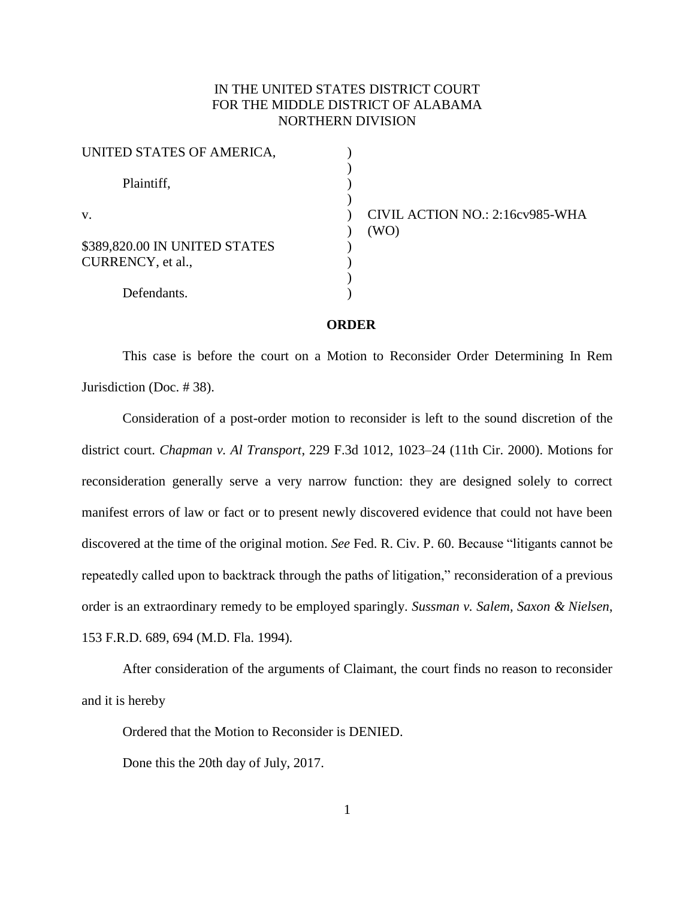## IN THE UNITED STATES DISTRICT COURT FOR THE MIDDLE DISTRICT OF ALABAMA NORTHERN DIVISION

| UNITED STATES OF AMERICA,                          |  |
|----------------------------------------------------|--|
| Plaintiff,                                         |  |
| V.                                                 |  |
| \$389,820.00 IN UNITED STATES<br>CURRENCY, et al., |  |
| Defendants.                                        |  |

) CIVIL ACTION NO.: 2:16cv985-WHA ) (WO)

## **ORDER**

This case is before the court on a Motion to Reconsider Order Determining In Rem Jurisdiction (Doc. # 38).

Consideration of a post-order motion to reconsider is left to the sound discretion of the district court. *Chapman v. Al Transport*, 229 F.3d 1012, 1023–24 (11th Cir. 2000). Motions for reconsideration generally serve a very narrow function: they are designed solely to correct manifest errors of law or fact or to present newly discovered evidence that could not have been discovered at the time of the original motion. *See* Fed. R. Civ. P. 60. Because "litigants cannot be repeatedly called upon to backtrack through the paths of litigation," reconsideration of a previous order is an extraordinary remedy to be employed sparingly. *Sussman v. Salem, Saxon & Nielsen*, 153 F.R.D. 689, 694 (M.D. Fla. 1994).

After consideration of the arguments of Claimant, the court finds no reason to reconsider and it is hereby

Ordered that the Motion to Reconsider is DENIED.

Done this the 20th day of July, 2017.